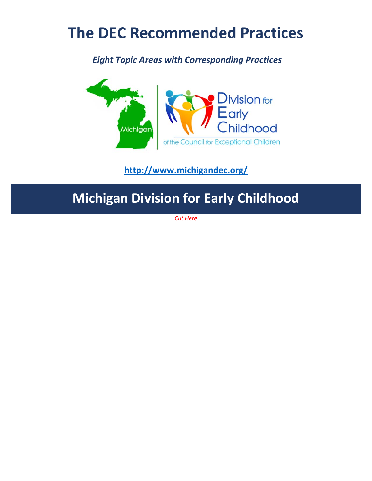# **The DEC Recommended Practices**

*Eight Topic Areas with Corresponding Practices*



**http://www.michigandec.org/**

# **Michigan Division for Early Childhood**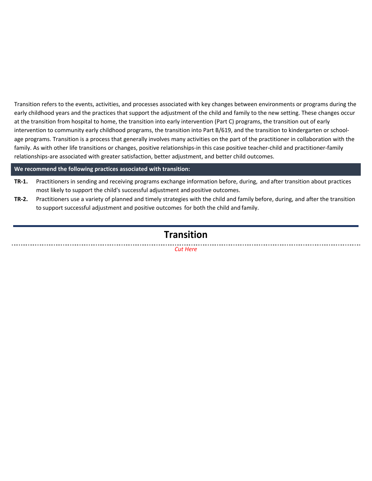Transition refers to the events, activities, and processes associated with key changes between environments or programs during the early childhood years and the practices that support the adjustment of the child and family to the new setting. These changes occur at the transition from hospital to home, the transition into early intervention (Part C) programs, the transition out of early intervention to community early childhood programs, the transition into Part B/619, and the transition to kindergarten or school‐ age programs. Transition is a process that generally involves many activities on the part of the practitioner in collaboration with the family. As with other life transitions or changes, positive relationships-in this case positive teacher-child and practitioner-family relationships‐are associated with greater satisfaction, better adjustment, and better child outcomes.

**We recommend the following practices associated with transition:**

- **TR‐1.** Practitioners in sending and receiving programs exchange information before, during, and after transition about practices most likely to support the child's successful adjustment and positive outcomes.
- **TR‐2.** Practitioners use a variety of planned and timely strategies with the child and family before, during, and after the transition to support successful adjustment and positive outcomes for both the child and family.

# **Transition**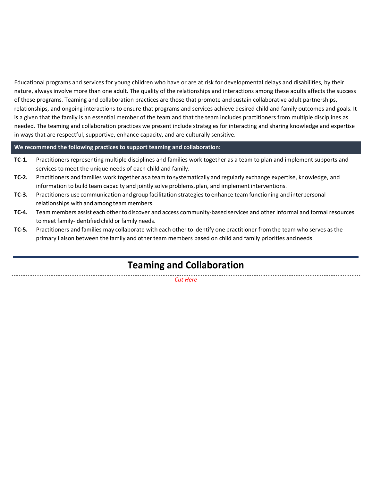Educational programs and services for young children who have or are at risk for developmental delays and disabilities, by their nature, always involve more than one adult. The quality of the relationships and interactions among these adults affects the success of these programs. Teaming and collaboration practices are those that promote and sustain collaborative adult partnerships, relationships, and ongoing interactions to ensure that programs and services achieve desired child and family outcomes and goals. It is a given that the family is an essential member of the team and that the team includes practitioners from multiple disciplines as needed. The teaming and collaboration practices we present include strategies for interacting and sharing knowledge and expertise in ways that are respectful, supportive, enhance capacity, and are culturally sensitive.

### **We recommend the following practices to support teaming and collaboration:**

- **TC-1.** Practitioners representing multiple disciplines and families work together as a team to plan and implement supports and services to meet the unique needs of each child and family.
- **TC‐2.** Practitioners and families work together as a team to systematically and regularly exchange expertise, knowledge, and information to build team capacity and jointly solve problems, plan, and implement interventions.
- **TC‐3.** Practitioners use communication and group facilitation strategies to enhance team functioning and interpersonal relationships with and among team members.
- **TC‐4.** Team members assist each other to discover and access community‐based services and other informal and formal resources tomeet family‐identified child or family needs.
- **TC‐5.** Practitioners and families may collaborate with each other to identify one practitioner fromthe team who serves as the primary liaison between the family and other team members based on child and family priorities andneeds.

# **Teaming and Collaboration**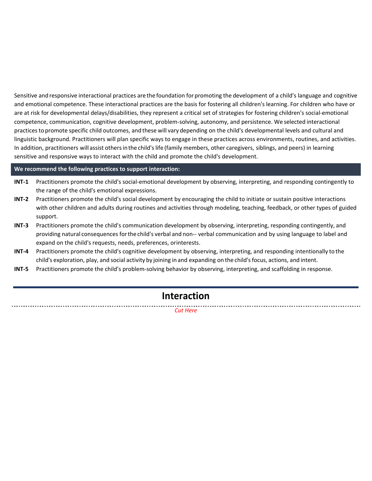Sensitive and responsive interactional practices are the foundation for promoting the development of a child's language and cognitive and emotional competence. These interactional practices are the basis for fostering all children's learning. For children who have or are at risk for developmental delays/disabilities, they represent a critical set of strategies for fostering children's social‐emotional competence, communication, cognitive development, problem‐solving, autonomy, and persistence. We selected interactional practices to promote specific child outcomes, and these will vary depending on the child's developmental levels and cultural and linguistic background. Practitioners will plan specific ways to engage in these practices across environments, routines, and activities. In addition, practitioners will assist othersinthe child'slife (family members, other caregivers, siblings, and peers) in learning sensitive and responsive ways to interact with the child and promote the child's development.

#### **We recommend the following practices to support interaction:**

- **INT‐1** Practitioners promote the child's social‐emotional development by observing, interpreting, and responding contingently to the range of the child's emotional expressions.
- **INT-2** Practitioners promote the child's social development by encouraging the child to initiate or sustain positive interactions with other children and adults during routines and activities through modeling, teaching, feedback, or other types of guided support.
- **INT-3** Practitioners promote the child's communication development by observing, interpreting, responding contingently, and providing natural consequences for the child's verbal and non-- verbal communication and by using language to label and expand on the child's requests, needs, preferences, orinterests.
- **INT-4** Practitioners promote the child's cognitive development by observing, interpreting, and responding intentionally to the child's exploration, play, and social activity by joining in and expanding on the child's focus, actions, and intent.
- **INT‐5** Practitioners promote the child's problem‐solving behavior by observing, interpreting, and scaffolding in response.

## **Interaction**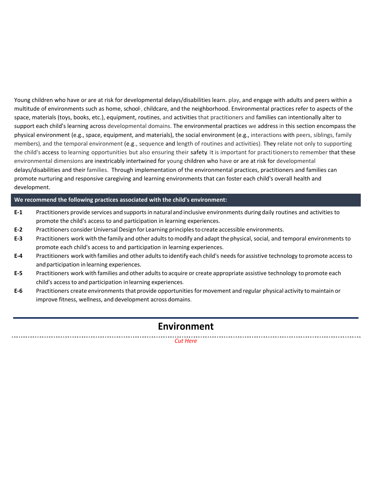Young children who have or are at risk for developmental delays/disabilities learn. play, and engage with adults and peers within a multitude of environments such as home, school∙, childcare, and the neighborhood. Environmental practices refer to aspects of the space, materials (toys, books, etc.), equipment, routines, and activities that practitioners and families can intentionally alter to support each child's learning across developmental domains. The environmental practices we address in this section encompass the physical environment (e.g., space, equipment, and materials), the social environment (e.g., interactions with peers, siblings, family members), and the temporal environment (e.g., sequence and length of routines and activities). They relate not only to supporting the child's access to learning opportunities but also ensuring their safety. It is important for practitionersto remember that these environmental dimensions are inextricably intertwined for young children who have or are at risk for developmental delays/disabilities and their families. Through implementation of the environmental practices, practitioners and families can promote nurturing and responsive caregiving and learning environments that can foster each child's overall health and development.

#### **We recommend the following practices associated with the child's environment:**

- **E‐1** Practitioners provide services andsupportsin natural andinclusive environments during daily routines and activities to promote the child's access to and participation in learning experiences.
- **E‐2** Practitioners considerUniversal Design for Learning principlestocreate accessible environments.
- **E‐3** Practitioners work with the family and other adults tomodify and adapt thephysical, social, and temporal environments to promote each child's access to and participation in learning experiences.
- **E‐4** Practitioners work with families and other adultsto identify each child's needsfor assistive technology to promote accessto and participation in learning experiences.
- **E‐5** Practitioners work with families and other adultsto acquire or create appropriate assistive technology to promote each child's accessto and participation inlearning experiences.
- **E‐6** Practitioners create environments that provide opportunities formovement and regular physical activity tomaintain or improve fitness, wellness, and development across domains.

## **Environment**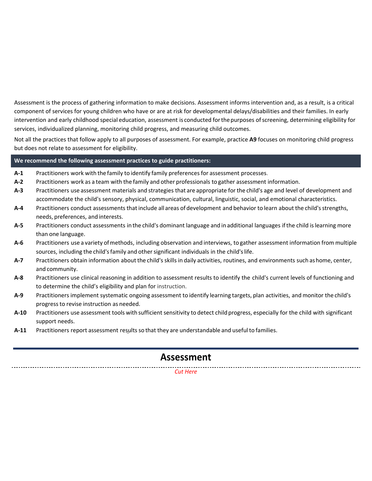Assessment is the process of gathering information to make decisions. Assessment informs intervention and, as a result, is a critical component of services for young children who have or are at risk for developmental delays/disabilities and their families. In early intervention and early childhood special education, assessment is conducted forthepurposes ofscreening, determining eligibility for services, individualized planning, monitoring child progress, and measuring child outcomes.

Not all the practices that follow apply to all purposes of assessment. For example, practice **A9** focuses on monitoring child progress but does not relate to assessment for eligibility.

### **We recommend the following assessment practices to guide practitioners:**

- **A‐1** Practitioners work with the family to identify family preferences for assessment processes.
- **A‐2** Practitioners work as a team with the family and other professionals to gather assessment information.
- **A‐3** Practitioners use assessment materials and strategies that are appropriate forthe child's age and level of development and accommodate the child's sensory, physical, communication, cultural, linguistic, social, and emotional characteristics.
- **A‐4** Practitioners conduct assessmentsthatinclude all areas of development and behavior to learn about the child'sstrengths, needs, preferences, and interests.
- **A‐5** Practitioners conduct assessments inthe child's dominant language and in additional languages ifthe child islearning more than one language.
- **A‐6** Practitioners use a variety ofmethods, including observation and interviews, to gather assessment information from multiple sources, including the child's family and other significant individuals in the child's life.
- **A‐7** Practitioners obtain information about the child's skills in daily activities, routines, and environments such ashome, center, and community.
- **A‐8** Practitioners use clinical reasoning in addition to assessment results to identify the child's current levels of functioning and to determine the child's eligibility and plan for instruction.
- **A‐9** Practitioners implement systematic ongoing assessment to identify learning targets, plan activities, and monitor the child's progressto revise instruction as needed.
- **A‐10** Practitioners use assessment tools with sufficient sensitivity to detect childprogress, especially for the child with significant support needs.
- **A‐11** Practitioners report assessment results so that they are understandable and useful to families.

## **Assessment**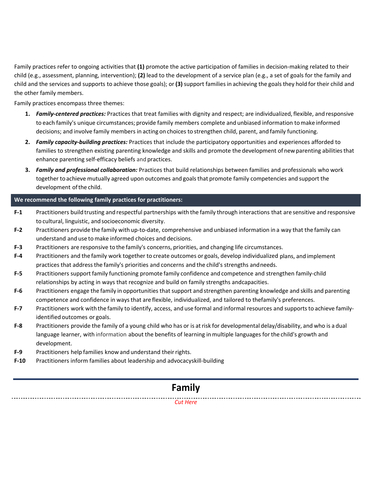Family practices refer to ongoing activities that (1) promote the active participation of families in decision-making related to their child (e.g., assessment, planning, intervention); **(2)** lead to the development of a service plan (e.g., a set of goals for the family and child and the services and supports to achieve those goals); or **(3)** support families in achieving the goals they hold for their child and the other family members.

Family practices encompass three themes:

- 1. Family-centered practices: Practices that treat families with dignity and respect; are individualized, flexible, and responsive to each family's unique circumstances; provide family members complete and unbiased information tomake informed decisions; and involve family members in acting on choices to strengthen child, parent, and family functioning.
- **2.** *Family capacity‐building practices:* Practices that include the participatory opportunities and experiences afforded to families to strengthen existing parenting knowledge and skills and promote the development of new parenting abilities that enhance parenting self‐efficacy beliefs and practices.
- **3.** *Family and professional collaboration:* Practices that build relationships between families and professionals who work together to achieve mutually agreed upon outcomes and goalsthat promote family competencies and support the development ofthe child.

## **We recommend the following family practices for practitioners:**

- **F‐1** Practitioners build trusting and respectful partnerships with the family through interactions that are sensitive and responsive to cultural, linguistic, andsocioeconomic diversity.
- **F‐2** Practitioners provide the family with up‐to‐date, comprehensive and unbiased information in a way that the family can understand and use tomake informed choices and decisions.
- **F‐3** Practitioners are responsive to the family's concerns, priorities, and changing life circumstances.
- **F‐4** Practitioners and the family work together to create outcomes or goals, develop individualized plans, and implement practices that addressthe family's priorities and concerns and the child's strengths andneeds.
- **F‐5** Practitioners support family functioning promote family confidence and competence and strengthen family‐child relationships by acting in ways that recognize and build on family strengths andcapacities.
- **F‐6** Practitioners engage the family in opportunities thatsupport and strengthen parenting knowledge and skills and parenting competence and confidence in waysthat are flexible, individualized, and tailored to thefamily's preferences.
- **F‐7** Practitioners work with the family to identify, access, and use formal and informal resources and supportsto achieve family‐ identified outcomes or goals.
- **F‐8** Practitioners provide the family of a young child who has or is atrisk for developmental delay/disability, and who is a dual language learner, with information about the benefits of learning in multiple languages for the child's growth and development.
- **F‐9** Practitioners help families know and understand theirrights.
- **F‐10** Practitioners inform families about leadership and advocacyskill‐building

# **Family**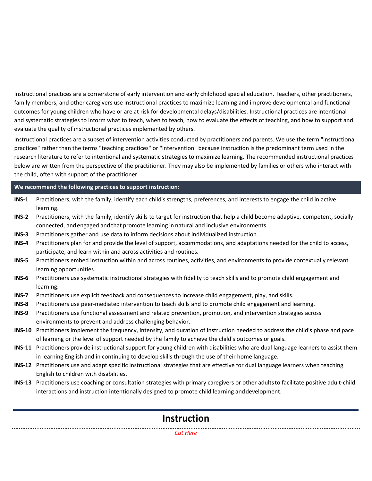Instructional practices are a cornerstone of early intervention and early childhood special education. Teachers, other practitioners, family members, and other caregivers use instructional practices to maximize learning and improve developmental and functional outcomes for young children who have or are at risk for developmental delays/disabilities. Instructional practices are intentional and systematic strategies to inform what to teach, when to teach, how to evaluate the effects of teaching, and how to support and evaluate the quality of instructional practices implemented by others.

Instructional practices are a subset of intervention activities conducted by practitioners and parents. We use the term "instructional practices" rather than the terms "teaching practices" or "intervention" because instruction is the predominant term used in the research literature to refer to intentional and systematic strategies to maximize learning. The recommended instructional practices below are written from the perspective of the practitioner. They may also be implemented by families or others who interact with the child, often with support of the practitioner.

## **We recommend the following practices to support instruction:**

- **INS‐1** Practitioners, with the family, identify each child's strengths, preferences, and interests to engage the child in active learning.
- **INS‐2** Practitioners, with the family, identify skills to target for instruction that help a child become adaptive, competent, socially connected, and engaged and that promote learning in natural and inclusive environments.
- **INS‐3** Practitioners gather and use data to inform decisions about individualized instruction.
- **INS‐4** Practitioners plan for and provide the level of support, accommodations, and adaptations needed for the child to access, participate, and learn within and across activities and routines.
- **INS‐5** Practitioners embed instruction within and across routines, activities, and environments to provide contextually relevant learning opportunities.
- **INS‐6** Practitioners use systematic instructional strategies with fidelity to teach skills and to promote child engagement and learning.
- **INS‐7** Practitioners use explicit feedback and consequences to increase child engagement, play, and skills.
- **INS‐8** Practitioners use peer‐mediated intervention to teach skills and to promote child engagement and learning.
- **INS‐9** Practitioners use functional assessment and related prevention, promotion, and intervention strategies across environments to prevent and address challenging behavior.
- **INS‐10** Practitioners implement the frequency, intensity, and duration of instruction needed to address the child's phase and pace of learning or the level of support needed by the family to achieve the child's outcomes or goals.
- **INS‐11** Practitioners provide instructional support for young children with disabilities who are dual language learners to assist them in learning English and in continuing to develop skills through the use of their home language.
- **INS‐12** Practitioners use and adapt specific instructional strategies that are effective for dual language learners when teaching English to children with disabilities.
- **INS‐13** Practitioners use coaching or consultation strategies with primary caregivers or other adultsto facilitate positive adult‐child interactions and instruction intentionally designed to promote child learning anddevelopment.

## **Instruction**